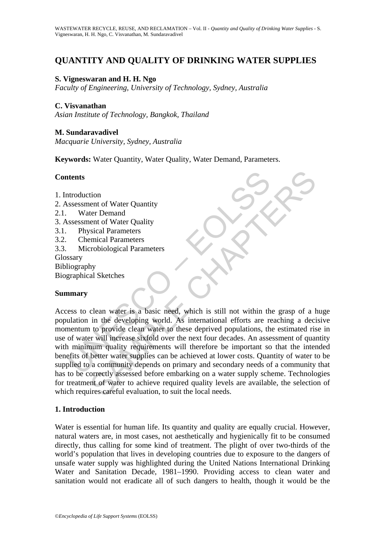# **QUANTITY AND QUALITY OF DRINKING WATER SUPPLIES**

# **S. Vigneswaran and H. H. Ngo**

*Faculty of Engineering, University of Technology, Sydney, Australia* 

### **C. Visvanathan**

*Asian Institute of Technology, Bangkok, Thailand* 

### **M. Sundaravadivel**

*Macquarie University, Sydney, Australia* 

**Keywords:** Water Quantity, Water Quality, Water Demand, Parameters.

## **Contents**

- 1. Introduction
- 2. Assessment of Water Quantity
- 2.1. Water Demand
- 3. Assessment of Water Quality
- 3.1. Physical Parameters
- 3.2. Chemical Parameters
- 3.3. Microbiological Parameters
- **Glossary**
- Bibliography

Biographical Sketches

#### **Summary**

**Example 18 The Schemann CE CONDUCT CONTROLL CONTROVER CONTROLL SERVICE CONTROLL CONTROLL CONTROLL CONTROLL CONTROLL CONTROLL CONTROLL CONTROLL CONTROLL CONTROLL CONTROLL CONTROLL CONTROLL CONTROLL CONTROLL CONTROLL CONTRO** The metropology of the selection<br>tion<br>tend of Water Quality<br>ter Demand<br>ent of Water Quality<br>sical Parameters<br>reposiblogical Parameters<br>reposiblogical Parameters<br>reposiblogical Parameters<br>will metrose sixfold over the metri Access to clean water is a basic need, which is still not within the grasp of a huge population in the developing world. As international efforts are reaching a decisive momentum to provide clean water to these deprived populations, the estimated rise in use of water will increase sixfold over the next four decades. An assessment of quantity with minimum quality requirements will therefore be important so that the intended benefits of better water supplies can be achieved at lower costs. Quantity of water to be supplied to a community depends on primary and secondary needs of a community that has to be correctly assessed before embarking on a water supply scheme. Technologies for treatment of water to achieve required quality levels are available, the selection of which requires careful evaluation, to suit the local needs.

#### **1. Introduction**

Water is essential for human life. Its quantity and quality are equally crucial. However, natural waters are, in most cases, not aesthetically and hygienically fit to be consumed directly, thus calling for some kind of treatment. The plight of over two-thirds of the world's population that lives in developing countries due to exposure to the dangers of unsafe water supply was highlighted during the United Nations International Drinking Water and Sanitation Decade, 1981–1990. Providing access to clean water and sanitation would not eradicate all of such dangers to health, though it would be the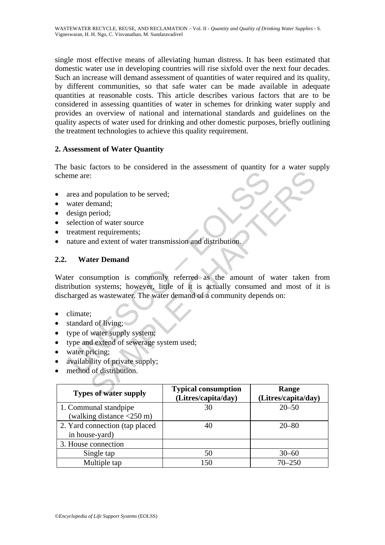single most effective means of alleviating human distress. It has been estimated that domestic water use in developing countries will rise sixfold over the next four decades. Such an increase will demand assessment of quantities of water required and its quality, by different communities, so that safe water can be made available in adequate quantities at reasonable costs. This article describes various factors that are to be considered in assessing quantities of water in schemes for drinking water supply and provides an overview of national and international standards and guidelines on the quality aspects of water used for drinking and other domestic purposes, briefly outlining the treatment technologies to achieve this quality requirement.

# **2. Assessment of Water Quantity**

The basic factors to be considered in the assessment of quantity for a water supply scheme are:

- area and population to be served;
- water demand:
- design period;
- selection of water source
- treatment requirements;
- nature and extent of water transmission and distribution.

# **2.2. Water Demand**

meare:<br>
area and population to be served;<br>
water demand;<br>
water demand;<br>
treatment requirements;<br>
tratament requirements;<br>
anture and extent of water transmission and distribution.<br> **Water Demand**<br>
er consumption is common Contains the contract of the served;<br>
d population to be served;<br>
elemand;<br>
period;<br>
and extent of water ransmission and distribution.<br> **Externand**<br>
assumption is commonly referred as the amount of water taken to<br>
is syste Water consumption is commonly referred as the amount of water taken from distribution systems; however, little of it is actually consumed and most of it is discharged as wastewater. The water demand of a community depends on:

- climate;
- standard of living;
- type of water supply system;
- type and extend of sewerage system used;
- water pricing;
- availability of private supply;
- method of distribution.

| <b>Types of water supply</b>                      | <b>Typical consumption</b><br>(Litres/capita/day) | Range<br>(Litres/capita/day) |
|---------------------------------------------------|---------------------------------------------------|------------------------------|
| 1. Communal standpipe                             | 30                                                | $20 - 50$                    |
| (walking distance $\langle 250 \text{ m} \rangle$ |                                                   |                              |
| 2. Yard connection (tap placed)                   | 40                                                | $20 - 80$                    |
| in house-yard)                                    |                                                   |                              |
| 3. House connection                               |                                                   |                              |
| Single tap                                        | 50                                                | $30 - 60$                    |
| Multiple tap                                      | 150                                               | $70 - 250$                   |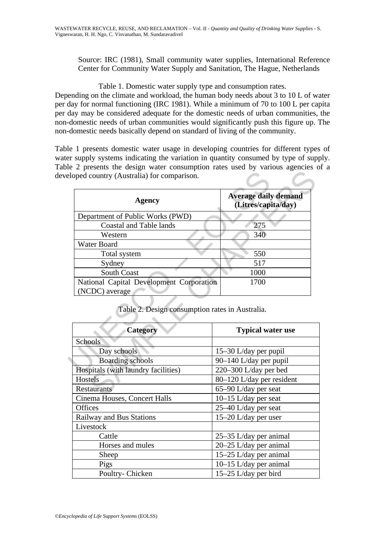Source: IRC (1981), Small community water supplies, International Reference Center for Community Water Supply and Sanitation, The Hague, Netherlands

Table 1. Domestic water supply type and consumption rates.

Depending on the climate and workload, the human body needs about 3 to 10 L of water per day for normal functioning (IRC 1981). While a minimum of 70 to 100 L per capita per day may be considered adequate for the domestic needs of urban communities, the non-domestic needs of urban communities would significantly push this figure up. The non-domestic needs basically depend on standard of living of the community.

Table 1 presents domestic water usage in developing countries for different types of water supply systems indicating the variation in quantity consumed by type of supply. Table 2 presents the design water consumption rates used by various agencies of a developed country (Australia) for comparison.

| <b>Agency</b>                                               | <b>Average daily demand</b><br>(Litres/capita/day) |  |
|-------------------------------------------------------------|----------------------------------------------------|--|
| Department of Public Works (PWD)                            |                                                    |  |
| <b>Coastal and Table lands</b>                              | 275                                                |  |
| Western                                                     | 340                                                |  |
| Water Board                                                 |                                                    |  |
| Total system                                                | 550                                                |  |
| Sydney                                                      | 517                                                |  |
| <b>South Coast</b>                                          | 1000                                               |  |
| National Capital Development Corporation                    | 1700                                               |  |
| (NCDC) average                                              |                                                    |  |
| Table 2. Design consumption rates in Australia.<br>Category | <b>Typical water use</b>                           |  |
| Schools                                                     |                                                    |  |
| Day schools                                                 | 15-30 L/day per pupil                              |  |
|                                                             |                                                    |  |
| <b>Boarding schools</b>                                     | 90–140 L/day per pupil                             |  |
| Hospitals (with laundry facilities)                         | 220–300 L/day per bed                              |  |
| Hostels                                                     | 80-120 L/day per resident                          |  |
| <b>Restaurants</b>                                          | 65–90 L/day per seat                               |  |

Table 2. Design consumption rates in Australia.

| <b>Category</b>                     | <b>Typical water use</b>  |
|-------------------------------------|---------------------------|
| Schools                             |                           |
| Day schools                         | 15–30 L/day per pupil     |
| <b>Boarding schools</b>             | 90-140 L/day per pupil    |
| Hospitals (with laundry facilities) | 220-300 L/day per bed     |
| Hostels                             | 80-120 L/day per resident |
| <b>Restaurants</b>                  | 65–90 L/day per seat      |
| Cinema Houses, Concert Halls        | $10-15$ L/day per seat    |
| <b>Offices</b>                      | 25–40 L/day per seat      |
| <b>Railway and Bus Stations</b>     | 15–20 L/day per user      |
| Livestock                           |                           |
| Cattle                              | 25–35 L/day per animal    |
| Horses and mules                    | 20–25 L/day per animal    |
| Sheep                               | 15-25 L/day per animal    |
| Pigs                                | 10–15 L/day per animal    |
| Poultry-Chicken                     | $15-25$ L/day per bird    |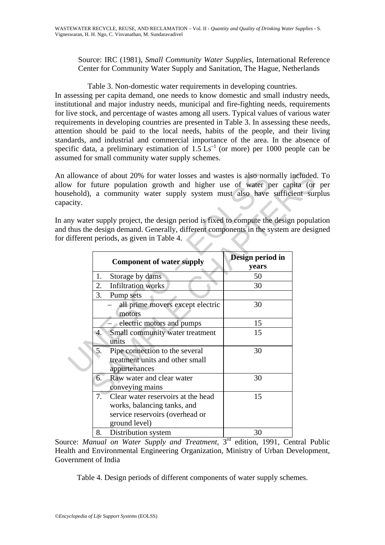Source: IRC (1981), *Small Community Water Supplies*, International Reference Center for Community Water Supply and Sanitation, The Hague, Netherlands

Table 3. Non-domestic water requirements in developing countries.

In assessing per capita demand, one needs to know domestic and small industry needs, institutional and major industry needs, municipal and fire-fighting needs, requirements for live stock, and percentage of wastes among all users. Typical values of various water requirements in developing countries are presented in Table 3. In assessing these needs, attention should be paid to the local needs, habits of the people, and their living standards, and industrial and commercial importance of the area. In the absence of specific data, a preliminary estimation of  $1.5 \text{ Ls}^{-1}$  (or more) per 1000 people can be assumed for small community water supply schemes.

An allowance of about 20% for water losses and wastes is also normally included. To allow for future population growth and higher use of water per capita (or per household), a community water supply system must also have sufficient surplus capacity.

In any water supply project, the design period is fixed to compute the design population and thus the design demand. Generally, different components in the system are designed for different periods, as given in Table 4.

| acity. | allowance of about 20% for water losses and wastes is also normally included<br>w for future population growth and higher use of water per capita (or<br>sehold), a community water supply system must also have sufficient sur<br>ny water supply project, the design period is fixed to compute the design popula<br>thus the design demand. Generally, different components in the system are desig |                           |  |
|--------|--------------------------------------------------------------------------------------------------------------------------------------------------------------------------------------------------------------------------------------------------------------------------------------------------------------------------------------------------------------------------------------------------------|---------------------------|--|
|        | different periods, as given in Table 4.                                                                                                                                                                                                                                                                                                                                                                |                           |  |
|        | <b>Component of water supply</b>                                                                                                                                                                                                                                                                                                                                                                       | Design period in<br>years |  |
|        | Storage by dams<br>1.                                                                                                                                                                                                                                                                                                                                                                                  | 50                        |  |
|        | 2.<br><b>Infiltration</b> works                                                                                                                                                                                                                                                                                                                                                                        | 30                        |  |
|        | 3.<br>Pump sets                                                                                                                                                                                                                                                                                                                                                                                        |                           |  |
|        | all prime movers except electric<br>motors                                                                                                                                                                                                                                                                                                                                                             | 30                        |  |
|        | electric motors and pumps                                                                                                                                                                                                                                                                                                                                                                              | 15                        |  |
|        | Small community water treatment<br>$\mathbf{4}$ .<br>units                                                                                                                                                                                                                                                                                                                                             | 15                        |  |
|        | Pipe connection to the several<br>5.<br>treatment units and other small<br>appurtenances                                                                                                                                                                                                                                                                                                               | 30                        |  |
|        | Raw water and clear water<br>6.<br>conveying mains                                                                                                                                                                                                                                                                                                                                                     | 30                        |  |
|        | $7^-$<br>Clear water reservoirs at the head<br>works, balancing tanks, and<br>service reservoirs (overhead or<br>ground level)                                                                                                                                                                                                                                                                         | 15                        |  |
|        | Distribution system<br>8.                                                                                                                                                                                                                                                                                                                                                                              | 30                        |  |

Source: *Manual on Water Supply and Treatment*, 3<sup>rd</sup> edition, 1991, Central Public Health and Environmental Engineering Organization, Ministry of Urban Development, Government of India

Table 4. Design periods of different components of water supply schemes.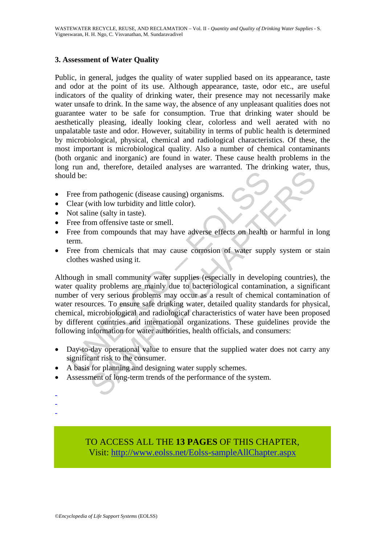# **3. Assessment of Water Quality**

Public, in general, judges the quality of water supplied based on its appearance, taste and odor at the point of its use. Although appearance, taste, odor etc., are useful indicators of the quality of drinking water, their presence may not necessarily make water unsafe to drink. In the same way, the absence of any unpleasant qualities does not guarantee water to be safe for consumption. True that drinking water should be aesthetically pleasing, ideally looking clear, colorless and well aerated with no unpalatable taste and odor. However, suitability in terms of public health is determined by microbiological, physical, chemical and radiological characteristics. Of these, the most important is microbiological quality. Also a number of chemical contaminants (both organic and inorganic) are found in water. These cause health problems in the long run and, therefore, detailed analyses are warranted. The drinking water, thus, should be:

- Free from pathogenic (disease causing) organisms.
- Clear (with low turbidity and little color).
- Not saline (salty in taste).
- Free from offensive taste or smell.
- Free from compounds that may have adverse effects on health or harmful in long term.
- Free from chemicals that may cause corrosion of water supply system or stain clothes washed using it.

Internal of the consumers and designing water supply schemes.<br>
Dear (with low turbidity and little color).<br>
Not saline (salty in taste).<br>
Free from offensive taste or smell.<br>
Free from compounds that may have adverse effec For parameterial and internal of the summation of the system.<br>
The system of the system of the system of the system of the system of the system of the system of the system of the system of the system of the system of waked Although in small community water supplies (especially in developing countries), the water quality problems are mainly due to bacteriological contamination, a significant number of very serious problems may occur as a result of chemical contamination of water resources. To ensure safe drinking water, detailed quality standards for physical, chemical, microbiological and radiological characteristics of water have been proposed by different countries and international organizations. These guidelines provide the following information for water authorities, health officials, and consumers:

- Day-to-day operational value to ensure that the supplied water does not carry any significant risk to the consumer.
- A basis for planning and designing water supply schemes.
- Assessment of long-term trends of the performance of the system.
- -
- -
- -

TO ACCESS ALL THE **13 PAGES** OF THIS CHAPTER, Visit[: http://www.eolss.net/Eolss-sampleAllChapter.aspx](https://www.eolss.net/ebooklib/sc_cart.aspx?File=E2-14-03-01)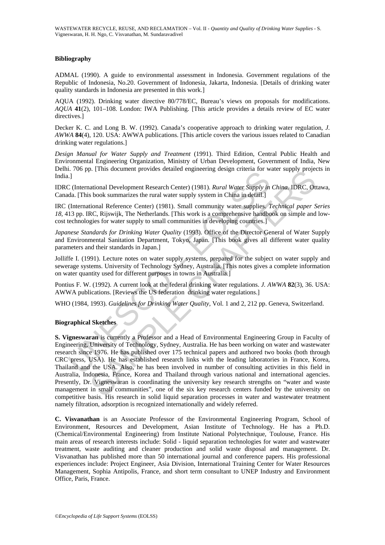#### **Bibliography**

ADMAL (1990). A guide to environmental assessment in Indonesia. Government regulations of the Republic of Indonesia, No.20. Government of Indonesia, Jakarta, Indonesia. [Details of drinking water quality standards in Indonesia are presented in this work.]

AQUA (1992). Drinking water directive 80/778/EC, Bureau's views on proposals for modifications. *AQUA* **41**(2), 101–108. London: IWA Publishing. [This article provides a details review of EC water directives.]

Decker K. C. and Long B. W. (1992). Canada's cooperative approach to drinking water regulation, *J. AWWA* **84**(4), 120. USA: AWWA publications. [This article covers the various issues related to Canadian drinking water regulations.]

*Design Manual for Water Supply and Treatment* (1991). Third Edition, Central Public Health and Environmental Engineering Organization, Ministry of Urban Development, Government of India, New Delhi. 706 pp. [This document provides detailed engineering design criteria for water supply projects in India.]

IDRC (International Development Research Center) (1981). *Rural Water Supply in China.* IDRC, Ottawa, Canada. [This book summarizes the rural water supply system in China in detail.]

IRC (International Reference Center) (1981). Small community water supplies. *Technical paper Series 18,* 413 pp. IRC, Rijswijk, The Netherlands. [This work is a comprehensive handbook on simple and lowcost technologies for water supply to small communities in developing countries.]

*Japanese Standards for Drinking Water Quality* (1993). Office of the Director General of Water Supply and Environmental Sanitation Department, Tokyo, Japan. [This book gives all different water quality parameters and their standards in Japan.]

Jolliffe I. (1991). Lecture notes on water supply systems, prepared for the subject on water supply and sewerage systems. University of Technology Sydney, Australia. [This notes gives a complete information on water quantity used for different purposes in towns in Australia.]

Pontius F. W. (1992). A current look at the federal drinking water regulations. *J. AWWA* **82**(3), 36. USA: AWWA publications. [Reviews the US federation drinking water regulations.]

WHO (1984, 1993). *Guidelines for Drinking Water Quality,* Vol. 1 and 2, 212 pp. Geneva, Switzerland.

#### **Biographical Sketches**

1. Yoo pp. [Tims doedman provides detained vagancering design eincrat for wear.<br>
1.] C (International Development Research Center) (1981). *Rural Water Supply in*<br>
1.] C (International Reference Center) (1981). Small commu p. Trins document provides detailed engineering design circlera for water supply project<br>ational Development Research Center) (1981). Rural Water Supply in China IDRC, Ou<br>book summarizes the rural water supply system in C **S. Vigneswaran** is currently a Professor and a Head of Environmental Engineering Group in Faculty of Engineering, University of Technology, Sydney, Australia. He has been working on water and wastewater research since 1976. He has published over 175 technical papers and authored two books (both through CRC press, USA). He has established research links with the leading laboratories in France, Korea, Thailand and the USA. Also, he has been involved in number of consulting activities in this field in Australia, Indonesia, France, Korea and Thailand through various national and international agencies. Presently, Dr. Vigneswaran is coordinating the university key research strengths on "water and waste management in small communities", one of the six key research centers funded by the university on competitive basis. His research in solid liquid separation processes in water and wastewater treatment namely filtration, adsorption is recognized internationally and widely referred.

**C. Visvanathan** is an Associate Professor of the Environmental Engineering Program, School of Environment, Resources and Development, Asian Institute of Technology. He has a Ph.D. (Chemical/Environmental Engineering) from Institute National Polytechnique, Toulouse, France. His main areas of research interests include: Solid - liquid separation technologies for water and wastewater treatment, waste auditing and cleaner production and solid waste disposal and management. Dr. Visvanathan has published more than 50 international journal and conference papers. His professional experiences include: Project Engineer, Asia Division, International Training Center for Water Resources Management, Sophia Antipolis, France, and short term consultant to UNEP Industry and Environment Office, Paris, France.